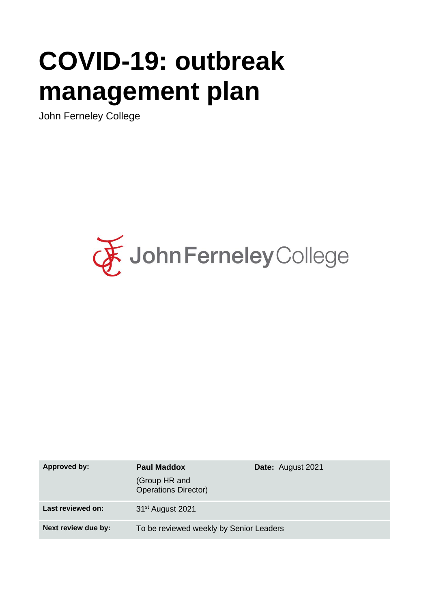# **COVID-19: outbreak management plan**

John Ferneley College



| <b>Approved by:</b> | <b>Paul Maddox</b>                           | <b>Date:</b> August 2021 |
|---------------------|----------------------------------------------|--------------------------|
|                     | (Group HR and<br><b>Operations Director)</b> |                          |
| Last reviewed on:   | 31 <sup>st</sup> August 2021                 |                          |
| Next review due by: | To be reviewed weekly by Senior Leaders      |                          |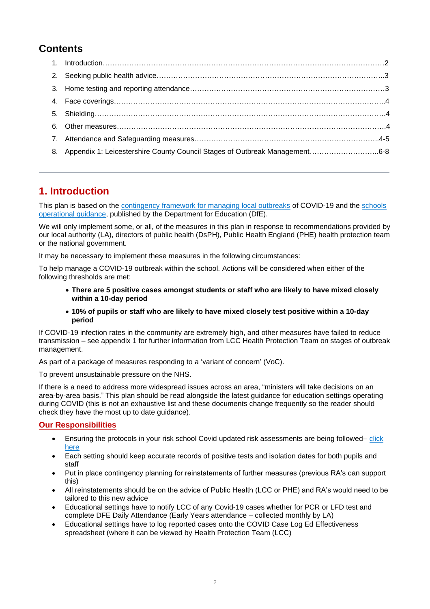# **Contents**

| 8. Appendix 1: Leicestershire County Council Stages of Outbreak Management6-8 |  |
|-------------------------------------------------------------------------------|--|

# **1. Introduction**

This plan is based on the [contingency framework for managing local outbreaks](https://www.gov.uk/government/publications/coronavirus-covid-19-local-restrictions-in-education-and-childcare-settings) of COVID-19 and the [schools](https://www.gov.uk/government/publications/actions-for-schools-during-the-coronavirus-outbreak)  [operational guidance,](https://www.gov.uk/government/publications/actions-for-schools-during-the-coronavirus-outbreak) published by the Department for Education (DfE).

We will only implement some, or all, of the measures in this plan in response to recommendations provided by our local authority (LA), directors of public health (DsPH), Public Health England (PHE) health protection team or the national government.

It may be necessary to implement these measures in the following circumstances:

To help manage a COVID-19 outbreak within the school. Actions will be considered when either of the following thresholds are met:

- **There are 5 positive cases amongst students or staff who are likely to have mixed closely within a 10-day period**
- **10% of pupils or staff who are likely to have mixed closely test positive within a 10-day period**

If COVID-19 infection rates in the community are extremely high, and other measures have failed to reduce transmission – see appendix 1 for further information from LCC Health Protection Team on stages of outbreak management.

As part of a package of measures responding to a 'variant of concern' (VoC).

To prevent unsustainable pressure on the NHS.

If there is a need to address more widespread issues across an area, "ministers will take decisions on an area-by-area basis." This plan should be read alongside the latest guidance for education settings operating during COVID (this is not an exhaustive list and these documents change frequently so the reader should check they have the most up to date guidance).

## **Our Responsibilities**

- Ensuring the protocols in your risk school Covid updated risk assessments are being followed– click [here](https://www.gov.uk/government/publications/actions-for-schools-during-the-coronavirus-outbreak/schools-covid-19-operational-guidance)
- Each setting should keep accurate records of positive tests and isolation dates for both pupils and staff
- Put in place contingency planning for reinstatements of further measures (previous RA's can support this)
- All reinstatements should be on the advice of Public Health (LCC or PHE) and RA's would need to be tailored to this new advice
- Educational settings have to notify LCC of any Covid-19 cases whether for PCR or LFD test and complete DFE Daily Attendance (Early Years attendance – collected monthly by LA)
- Educational settings have to log reported cases onto the COVID Case Log Ed Effectiveness spreadsheet (where it can be viewed by Health Protection Team (LCC)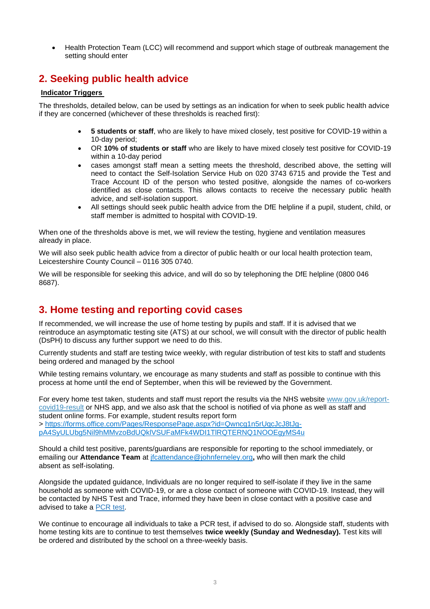• Health Protection Team (LCC) will recommend and support which stage of outbreak management the setting should enter

## **2. Seeking public health advice**

### **Indicator Triggers**

The thresholds, detailed below, can be used by settings as an indication for when to seek public health advice if they are concerned (whichever of these thresholds is reached first):

- **5 students or staff**, who are likely to have mixed closely, test positive for COVID-19 within a 10-day period;
- OR **10% of students or staff** who are likely to have mixed closely test positive for COVID-19 within a 10-day period
- cases amongst staff mean a setting meets the threshold, described above, the setting will need to contact the Self-Isolation Service Hub on 020 3743 6715 and provide the Test and Trace Account ID of the person who tested positive, alongside the names of co-workers identified as close contacts. This allows contacts to receive the necessary public health advice, and self-isolation support.
- All settings should seek public health advice from the DfE helpline if a pupil, student, child, or staff member is admitted to hospital with COVID-19.

When one of the thresholds above is met, we will review the testing, hygiene and ventilation measures already in place.

We will also seek public health advice from a director of public health or our local health protection team, Leicestershire County Council – 0116 305 0740.

We will be responsible for seeking this advice, and will do so by telephoning the DfE helpline (0800 046) 8687).

# **3. Home testing and reporting covid cases**

If recommended, we will increase the use of home testing by pupils and staff. If it is advised that we reintroduce an asymptomatic testing site (ATS) at our school, we will consult with the director of public health (DsPH) to discuss any further support we need to do this.

Currently students and staff are testing twice weekly, with regular distribution of test kits to staff and students being ordered and managed by the school

While testing remains voluntary, we encourage as many students and staff as possible to continue with this process at home until the end of September, when this will be reviewed by the Government.

For every home test taken, students and staff must report the results via the NHS website [www.gov.uk/report](https://emea01.safelinks.protection.outlook.com/?url=http%3A%2F%2Fwww.gov.uk%2Freport-covid19-result&data=04%7C01%7C%7Cecd957b02b2e4109e5f208d96ee37795%7C84df9e7fe9f640afb435aaaaaaaaaaaa%7C1%7C0%7C637662745502685484%7CUnknown%7CTWFpbGZsb3d8eyJWIjoiMC4wLjAwMDAiLCJQIjoiV2luMzIiLCJBTiI6Ik1haWwiLCJXVCI6Mn0%3D%7C1000&sdata=ifbow2d5sYKjf6v%2BuHypqsM9zppOEJsylWQjJ6qT5pc%3D&reserved=0)[covid19-result](https://emea01.safelinks.protection.outlook.com/?url=http%3A%2F%2Fwww.gov.uk%2Freport-covid19-result&data=04%7C01%7C%7Cecd957b02b2e4109e5f208d96ee37795%7C84df9e7fe9f640afb435aaaaaaaaaaaa%7C1%7C0%7C637662745502685484%7CUnknown%7CTWFpbGZsb3d8eyJWIjoiMC4wLjAwMDAiLCJQIjoiV2luMzIiLCJBTiI6Ik1haWwiLCJXVCI6Mn0%3D%7C1000&sdata=ifbow2d5sYKjf6v%2BuHypqsM9zppOEJsylWQjJ6qT5pc%3D&reserved=0) or NHS app, and we also ask that the school is notified of via phone as well as staff and student online forms. For example, student results report form

> [https://forms.office.com/Pages/ResponsePage.aspx?id=Qwncg1n5rUqcJcJ8tJg](https://emea01.safelinks.protection.outlook.com/?url=https%3A%2F%2Fforms.office.com%2Fpages%2Fresponsepage.aspx%3Fid%3Dqwncg1n5ruqcjcj8tjg-pa4syulubg5nil9hmmvzobduqklvsufamfk4wdi1tlrqternq1nooegyms4u&data=04%7C01%7C%7Cecd957b02b2e4109e5f208d96ee37795%7C84df9e7fe9f640afb435aaaaaaaaaaaa%7C1%7C0%7C637662745502695432%7CUnknown%7CTWFpbGZsb3d8eyJWIjoiMC4wLjAwMDAiLCJQIjoiV2luMzIiLCJBTiI6Ik1haWwiLCJXVCI6Mn0%3D%7C1000&sdata=zAKTXQPqHKQaL%2Bh83%2Fkb4lUv5cpdiZvOcETJK49f2XA%3D&reserved=0)[pA4SyULUbg5Nil9hMMvzoBdUQklVSUFaMFk4WDI1TlRQTERNQ1NOOEgyMS4u](https://emea01.safelinks.protection.outlook.com/?url=https%3A%2F%2Fforms.office.com%2Fpages%2Fresponsepage.aspx%3Fid%3Dqwncg1n5ruqcjcj8tjg-pa4syulubg5nil9hmmvzobduqklvsufamfk4wdi1tlrqternq1nooegyms4u&data=04%7C01%7C%7Cecd957b02b2e4109e5f208d96ee37795%7C84df9e7fe9f640afb435aaaaaaaaaaaa%7C1%7C0%7C637662745502695432%7CUnknown%7CTWFpbGZsb3d8eyJWIjoiMC4wLjAwMDAiLCJQIjoiV2luMzIiLCJBTiI6Ik1haWwiLCJXVCI6Mn0%3D%7C1000&sdata=zAKTXQPqHKQaL%2Bh83%2Fkb4lUv5cpdiZvOcETJK49f2XA%3D&reserved=0)

Should a child test positive, parents/guardians are responsible for reporting to the school immediately, or emailing our **Attendance Team** at [jfcattendance@johnferneley.org](mailto:jfcattendance@johnferneley.org)**,** who will then mark the child absent as self-isolating.

Alongside the updated guidance, Individuals are no longer required to self-isolate if they live in the same household as someone with COVID-19, or are a close contact of someone with COVID-19. Instead, they will be contacted by NHS Test and Trace, informed they have been in close contact with a positive case and advised to take a [PCR](https://emea01.safelinks.protection.outlook.com/?url=https%3A%2F%2Fwww.gov.uk%2Fget-coronavirus-test&data=04%7C01%7C%7Cecd957b02b2e4109e5f208d96ee37795%7C84df9e7fe9f640afb435aaaaaaaaaaaa%7C1%7C0%7C637662745502705387%7CUnknown%7CTWFpbGZsb3d8eyJWIjoiMC4wLjAwMDAiLCJQIjoiV2luMzIiLCJBTiI6Ik1haWwiLCJXVCI6Mn0%3D%7C1000&sdata=7z%2FxFB%2FpbEbrY70tf3mGExzL0R0UOnr9nB6Saad%2FaaI%3D&reserved=0) test.

We continue to encourage all individuals to take a PCR test, if advised to do so. Alongside staff, students with home testing kits are to continue to test themselves **twice weekly (Sunday and Wednesday).** Test kits will be ordered and distributed by the school on a three-weekly basis.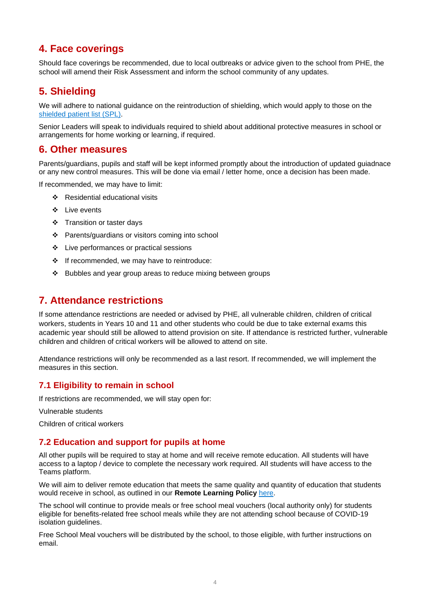# **4. Face coverings**

Should face coverings be recommended, due to local outbreaks or advice given to the school from PHE, the school will amend their Risk Assessment and inform the school community of any updates.

# **5. Shielding**

We will adhere to national guidance on the reintroduction of shielding, which would apply to those on the shielded [patient list \(SPL\).](https://digital.nhs.uk/coronavirus/shielded-patient-list)

Senior Leaders will speak to individuals required to shield about additional protective measures in school or arrangements for home working or learning, if required.

## **6. Other measures**

Parents/guardians, pupils and staff will be kept informed promptly about the introduction of updated guiadnace or any new control measures. This will be done via email / letter home, once a decision has been made.

If recommended, we may have to limit:

- ❖ Residential educational visits
- ❖ Live events
- ❖ Transition or taster days
- ❖ Parents/guardians or visitors coming into school
- ❖ Live performances or practical sessions
- ❖ If recommended, we may have to reintroduce:
- ❖ Bubbles and year group areas to reduce mixing between groups

## **7. Attendance restrictions**

If some attendance restrictions are needed or advised by PHE, all vulnerable children, children of critical workers, students in Years 10 and 11 and other students who could be due to take external exams this academic year should still be allowed to attend provision on site. If attendance is restricted further, vulnerable children and children of critical workers will be allowed to attend on site.

Attendance restrictions will only be recommended as a last resort. If recommended, we will implement the measures in this section.

## **7.1 Eligibility to remain in school**

If restrictions are recommended, we will stay open for:

Vulnerable students

Children of critical workers

#### **7.2 Education and support for pupils at home**

All other pupils will be required to stay at home and will receive remote education. All students will have access to a laptop / device to complete the necessary work required. All students will have access to the Teams platform.

We will aim to deliver remote education that meets the same quality and quantity of education that students would receive in school, as outlined in our **Remote Learning Policy** [here.](https://www.mowbrayeducation.org/attachments/download.asp?file=616&type=pdf)

The school will continue to provide meals or free school meal vouchers (local authority only) for students eligible for benefits-related free school meals while they are not attending school because of COVID-19 isolation guidelines.

Free School Meal vouchers will be distributed by the school, to those eligible, with further instructions on email.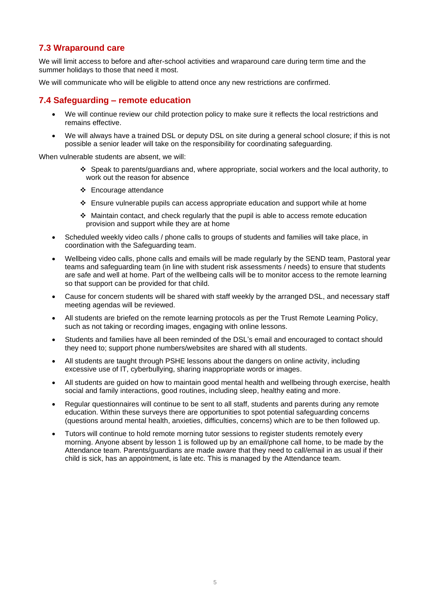## **7.3 Wraparound care**

We will limit access to before and after-school activities and wraparound care during term time and the summer holidays to those that need it most.

We will communicate who will be eligible to attend once any new restrictions are confirmed.

## **7.4 Safeguarding – remote education**

- We will continue review our child protection policy to make sure it reflects the local restrictions and remains effective.
- We will always have a trained DSL or deputy DSL on site during a general school closure; if this is not possible a senior leader will take on the responsibility for coordinating safeguarding.

When vulnerable students are absent, we will:

- ❖ Speak to parents/guardians and, where appropriate, social workers and the local authority, to work out the reason for absence
- ❖ Encourage attendance
- ❖ Ensure vulnerable pupils can access appropriate education and support while at home
- $\div$  Maintain contact, and check regularly that the pupil is able to access remote education provision and support while they are at home
- Scheduled weekly video calls / phone calls to groups of students and families will take place, in coordination with the Safeguarding team.
- Wellbeing video calls, phone calls and emails will be made regularly by the SEND team, Pastoral year teams and safeguarding team (in line with student risk assessments / needs) to ensure that students are safe and well at home. Part of the wellbeing calls will be to monitor access to the remote learning so that support can be provided for that child.
- Cause for concern students will be shared with staff weekly by the arranged DSL, and necessary staff meeting agendas will be reviewed.
- All students are briefed on the remote learning protocols as per the Trust Remote Learning Policy, such as not taking or recording images, engaging with online lessons.
- Students and families have all been reminded of the DSL's email and encouraged to contact should they need to; support phone numbers/websites are shared with all students.
- All students are taught through PSHE lessons about the dangers on online activity, including excessive use of IT, cyberbullying, sharing inappropriate words or images.
- All students are guided on how to maintain good mental health and wellbeing through exercise, health social and family interactions, good routines, including sleep, healthy eating and more.
- Regular questionnaires will continue to be sent to all staff, students and parents during any remote education. Within these surveys there are opportunities to spot potential safeguarding concerns (questions around mental health, anxieties, difficulties, concerns) which are to be then followed up.
- Tutors will continue to hold remote morning tutor sessions to register students remotely every morning. Anyone absent by lesson 1 is followed up by an email/phone call home, to be made by the Attendance team. Parents/guardians are made aware that they need to call/email in as usual if their child is sick, has an appointment, is late etc. This is managed by the Attendance team.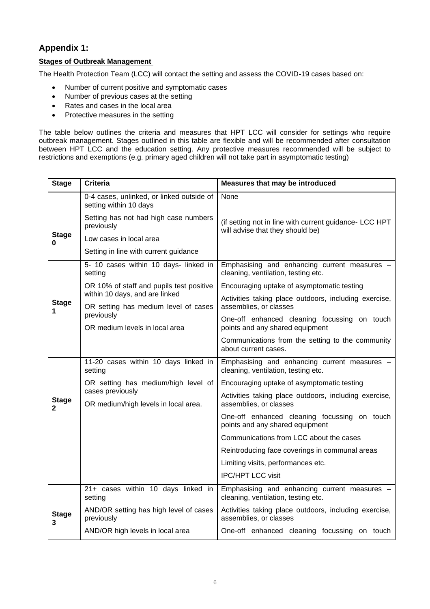## **Appendix 1:**

## **Stages of Outbreak Management**

The Health Protection Team (LCC) will contact the setting and assess the COVID-19 cases based on:

- Number of current positive and symptomatic cases
- Number of previous cases at the setting
- Rates and cases in the local area
- Protective measures in the setting

The table below outlines the criteria and measures that HPT LCC will consider for settings who require outbreak management. Stages outlined in this table are flexible and will be recommended after consultation between HPT LCC and the education setting. Any protective measures recommended will be subject to restrictions and exemptions (e.g. primary aged children will not take part in asymptomatic testing)

| <b>Stage</b>                 | <b>Criteria</b>                                                        | Measures that may be introduced                                                            |  |
|------------------------------|------------------------------------------------------------------------|--------------------------------------------------------------------------------------------|--|
|                              | 0-4 cases, unlinked, or linked outside of<br>setting within 10 days    | None                                                                                       |  |
|                              | Setting has not had high case numbers<br>previously                    | (if setting not in line with current guidance- LCC HPT<br>will advise that they should be) |  |
| <b>Stage</b><br>0            | Low cases in local area                                                |                                                                                            |  |
|                              | Setting in line with current guidance                                  |                                                                                            |  |
|                              | 5- 10 cases within 10 days- linked in<br>setting                       | Emphasising and enhancing current measures -<br>cleaning, ventilation, testing etc.        |  |
| <b>Stage</b><br>1            | OR 10% of staff and pupils test positive                               | Encouraging uptake of asymptomatic testing                                                 |  |
|                              | within 10 days, and are linked<br>OR setting has medium level of cases | Activities taking place outdoors, including exercise,<br>assemblies, or classes            |  |
|                              | previously<br>OR medium levels in local area                           | One-off enhanced cleaning focussing on touch<br>points and any shared equipment            |  |
|                              |                                                                        | Communications from the setting to the community<br>about current cases.                   |  |
|                              | 11-20 cases within 10 days linked in<br>setting                        | Emphasising and enhancing current measures -<br>cleaning, ventilation, testing etc.        |  |
|                              | OR setting has medium/high level of                                    | Encouraging uptake of asymptomatic testing                                                 |  |
| <b>Stage</b><br>$\mathbf{2}$ | cases previously<br>OR medium/high levels in local area.               | Activities taking place outdoors, including exercise,<br>assemblies, or classes            |  |
|                              |                                                                        | One-off enhanced cleaning focussing on touch<br>points and any shared equipment            |  |
|                              |                                                                        | Communications from LCC about the cases                                                    |  |
|                              |                                                                        | Reintroducing face coverings in communal areas                                             |  |
|                              |                                                                        | Limiting visits, performances etc.                                                         |  |
|                              |                                                                        | <b>IPC/HPT LCC visit</b>                                                                   |  |
|                              | 21+ cases within 10 days linked in<br>setting                          | Emphasising and enhancing current measures -<br>cleaning, ventilation, testing etc.        |  |
| <b>Stage</b><br>3            | AND/OR setting has high level of cases<br>previously                   | Activities taking place outdoors, including exercise,<br>assemblies, or classes            |  |
|                              | AND/OR high levels in local area                                       | One-off enhanced cleaning focussing on touch                                               |  |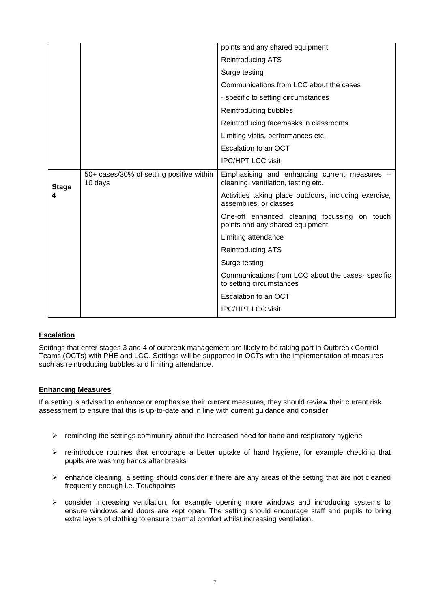|                   |                                                     | points and any shared equipment                                                   |
|-------------------|-----------------------------------------------------|-----------------------------------------------------------------------------------|
|                   |                                                     | <b>Reintroducing ATS</b>                                                          |
|                   |                                                     | Surge testing                                                                     |
|                   |                                                     | Communications from LCC about the cases                                           |
|                   |                                                     | - specific to setting circumstances                                               |
|                   |                                                     | Reintroducing bubbles                                                             |
|                   |                                                     | Reintroducing facemasks in classrooms                                             |
|                   |                                                     | Limiting visits, performances etc.                                                |
|                   |                                                     | Escalation to an OCT                                                              |
|                   |                                                     | <b>IPC/HPT LCC visit</b>                                                          |
| <b>Stage</b><br>4 | 50+ cases/30% of setting positive within<br>10 days | Emphasising and enhancing current measures<br>cleaning, ventilation, testing etc. |
|                   |                                                     | Activities taking place outdoors, including exercise,<br>assemblies, or classes   |
|                   |                                                     | One-off enhanced cleaning focussing on touch<br>points and any shared equipment   |
|                   |                                                     | Limiting attendance                                                               |
|                   |                                                     | Reintroducing ATS                                                                 |
|                   |                                                     | Surge testing                                                                     |
|                   |                                                     | Communications from LCC about the cases-specific<br>to setting circumstances      |
|                   |                                                     | Escalation to an OCT                                                              |
|                   |                                                     | <b>IPC/HPT LCC visit</b>                                                          |

## **Escalation**

Settings that enter stages 3 and 4 of outbreak management are likely to be taking part in Outbreak Control Teams (OCTs) with PHE and LCC. Settings will be supported in OCTs with the implementation of measures such as reintroducing bubbles and limiting attendance.

#### **Enhancing Measures**

If a setting is advised to enhance or emphasise their current measures, they should review their current risk assessment to ensure that this is up-to-date and in line with current guidance and consider

- $\triangleright$  reminding the settings community about the increased need for hand and respiratory hygiene
- $\triangleright$  re-introduce routines that encourage a better uptake of hand hygiene, for example checking that pupils are washing hands after breaks
- $\triangleright$  enhance cleaning, a setting should consider if there are any areas of the setting that are not cleaned frequently enough i.e. Touchpoints
- ➢ consider increasing ventilation, for example opening more windows and introducing systems to ensure windows and doors are kept open. The setting should encourage staff and pupils to bring extra layers of clothing to ensure thermal comfort whilst increasing ventilation.